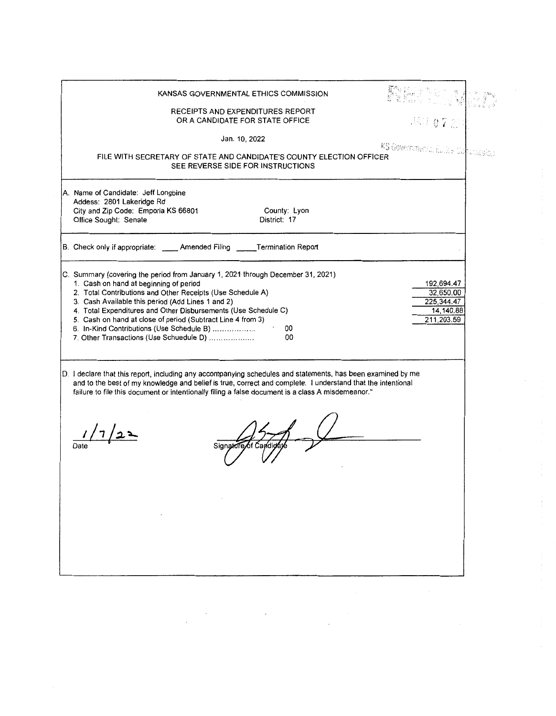| KANSAS GOVERNMENTAL ETHICS COMMISSION                                                                                                                                                                                                                                                                                                                                                                                                                                             |                                                                  |
|-----------------------------------------------------------------------------------------------------------------------------------------------------------------------------------------------------------------------------------------------------------------------------------------------------------------------------------------------------------------------------------------------------------------------------------------------------------------------------------|------------------------------------------------------------------|
| RECEIPTS AND EXPENDITURES REPORT<br>OR A CANDIDATE FOR STATE OFFICE                                                                                                                                                                                                                                                                                                                                                                                                               | 15.1672                                                          |
| Jan. 10, 2022                                                                                                                                                                                                                                                                                                                                                                                                                                                                     |                                                                  |
| FILE WITH SECRETARY OF STATE AND CANDIDATE'S COUNTY ELECTION OFFICER<br>SEE REVERSE SIDE FOR INSTRUCTIONS                                                                                                                                                                                                                                                                                                                                                                         | KS Governmental Luik's Commissi                                  |
| A. Name of Candidate: Jeff Longbine<br>Addess: 2801 Lakeridge Rd<br>City and Zip Code: Emporia KS 66801<br>County: Lyon<br>District: 17<br>Office Sought: Senate                                                                                                                                                                                                                                                                                                                  |                                                                  |
| B. Check only if appropriate: _____ Amended Filing _____ Termination Report                                                                                                                                                                                                                                                                                                                                                                                                       |                                                                  |
| C. Summary (covering the period from January 1, 2021 through December 31, 2021)<br>1. Cash on hand at beginning of period<br>2. Total Contributions and Other Receipts (Use Schedule A)<br>3. Cash Available this period (Add Lines 1 and 2)<br>4. Total Expenditures and Other Disbursements (Use Schedule C)<br>5. Cash on hand at close of period (Subtract Line 4 from 3)<br>6. In-Kind Contributions (Use Schedule B)<br>00<br>7. Other Transactions (Use Schuedule D)<br>00 | 192,694.47<br>32,650.00<br>225,344.47<br>14,140.88<br>211.203.59 |
| D. I declare that this report, including any accompanying schedules and statements, has been examined by me<br>and to the best of my knowledge and belief is true, correct and complete. I understand that the intentional<br>failure to file this document or intentionally filing a false document is a class A misdemeanor."<br>Signato                                                                                                                                        |                                                                  |

 $\frac{1}{\sqrt{2}}$ 

 $\frac{1}{2} \frac{1}{2} \frac{d^2}{dx^2}$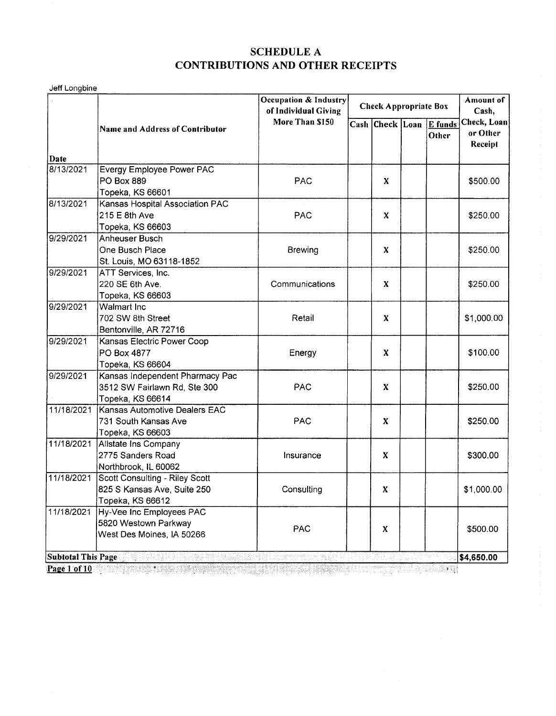Jeff Longbine

|                           |                                                           | Occupation & Industry<br>of Individual Giving | <b>Check Appropriate Box</b> |                 |            | Amount of<br>Cash, |                                    |
|---------------------------|-----------------------------------------------------------|-----------------------------------------------|------------------------------|-----------------|------------|--------------------|------------------------------------|
|                           | More Than \$150<br><b>Name and Address of Contributor</b> |                                               |                              | Cash Check Loan |            | E funds<br>Other   | Check, Loan<br>or Other<br>Receipt |
| Date                      |                                                           |                                               |                              |                 |            |                    |                                    |
| 8/13/2021                 | Evergy Employee Power PAC                                 |                                               |                              |                 |            |                    |                                    |
|                           | PO Box 889                                                | <b>PAC</b>                                    | X                            |                 |            | \$500.00           |                                    |
|                           | Topeka, KS 66601                                          |                                               |                              |                 |            |                    |                                    |
| 8/13/2021                 | Kansas Hospital Association PAC                           |                                               |                              |                 |            |                    |                                    |
|                           | 215 E 8th Ave                                             | <b>PAC</b>                                    |                              | X               |            |                    | \$250.00                           |
|                           | Topeka, KS 66603                                          |                                               |                              |                 |            |                    |                                    |
| 9/29/2021                 | Anheuser Busch                                            |                                               |                              |                 |            |                    |                                    |
|                           | One Busch Place                                           | <b>Brewing</b>                                |                              | X               |            |                    | \$250.00                           |
|                           | St. Louis, MO 63118-1852                                  |                                               |                              |                 |            |                    |                                    |
| 9/29/2021                 | ATT Services, Inc.                                        |                                               |                              |                 |            |                    |                                    |
|                           | 220 SE 6th Ave.                                           | Communications                                |                              | X               |            |                    | \$250.00                           |
|                           | Topeka, KS 66603                                          |                                               |                              |                 |            |                    |                                    |
| 9/29/2021                 | Walmart Inc                                               |                                               |                              |                 |            |                    |                                    |
|                           | 702 SW 8th Street                                         | Retail                                        | X                            |                 |            |                    | \$1,000.00                         |
|                           | Bentonville, AR 72716                                     |                                               |                              |                 |            |                    |                                    |
| 9/29/2021                 | Kansas Electric Power Coop                                |                                               |                              |                 |            |                    |                                    |
|                           | PO Box 4877                                               | Energy                                        |                              | X               |            |                    | \$100.00                           |
|                           | Topeka, KS 66604                                          |                                               |                              |                 |            |                    |                                    |
| 9/29/2021                 | Kansas Independent Pharmacy Pac                           |                                               |                              |                 |            |                    |                                    |
|                           | 3512 SW Fairlawn Rd, Ste 300                              |                                               |                              | X               | <b>PAC</b> | \$250.00           |                                    |
|                           | Topeka, KS 66614                                          |                                               |                              |                 |            |                    |                                    |
| 11/18/2021                | Kansas Automotive Dealers EAC                             |                                               |                              |                 |            |                    |                                    |
|                           | 731 South Kansas Ave                                      | PAC                                           |                              | X               |            |                    | \$250.00                           |
|                           | Topeka, KS 66603                                          |                                               |                              |                 |            |                    |                                    |
|                           | 11/18/2021 Allstate Ins Company                           |                                               |                              |                 |            |                    |                                    |
|                           | 2775 Sanders Road                                         | Insurance                                     |                              | X               |            |                    | \$300.00                           |
|                           | Northbrook, IL 60062                                      |                                               |                              |                 |            |                    |                                    |
| 11/18/2021                | Scott Consulting - Riley Scott                            |                                               |                              |                 |            |                    |                                    |
|                           | 825 S Kansas Ave, Suite 250                               | Consulting                                    | X                            |                 |            |                    | \$1,000.00                         |
|                           | Topeka, KS 66612                                          |                                               |                              |                 |            |                    |                                    |
| 11/18/2021                | Hy-Vee Inc Employees PAC                                  |                                               |                              |                 |            |                    |                                    |
|                           | 5820 Westown Parkway                                      |                                               |                              |                 |            |                    |                                    |
|                           | West Des Moines, IA 50266                                 | <b>PAC</b>                                    |                              | X.              |            |                    | \$500.00                           |
|                           |                                                           |                                               |                              |                 |            |                    |                                    |
| <b>Subtotal This Page</b> | t. Inggunak                                               |                                               |                              |                 |            |                    | \$4,650.00                         |

 $\frac{ \text{Page 1 of 10 }}{4}$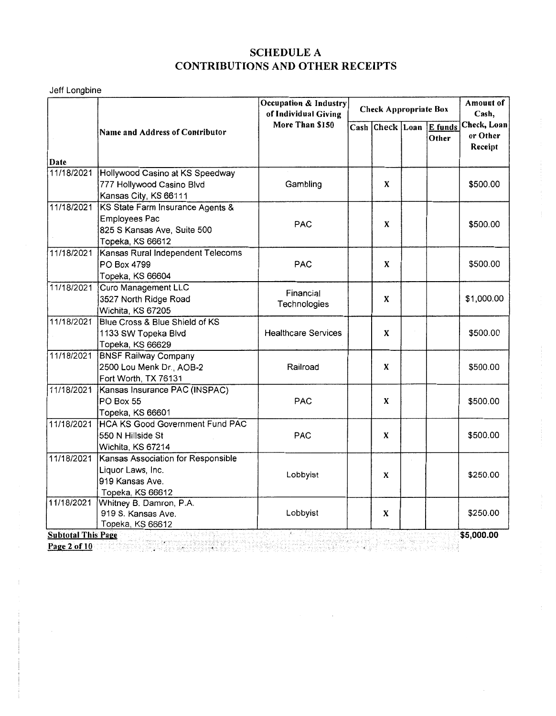Jeff Longbine

|                           |                                                    | Occupation & Industry<br>of Individual Giving | <b>Check Appropriate Box</b> |                                                                                                                                                                                                                                  | Cash, | Amount of        |                                    |
|---------------------------|----------------------------------------------------|-----------------------------------------------|------------------------------|----------------------------------------------------------------------------------------------------------------------------------------------------------------------------------------------------------------------------------|-------|------------------|------------------------------------|
|                           | More Than \$150<br>Name and Address of Contributor |                                               |                              | Cash Check Loan                                                                                                                                                                                                                  |       | E funds<br>Other | Check, Loan<br>or Other<br>Receipt |
| Date                      | 11/18/2021 Hollywood Casino at KS Speedway         |                                               |                              |                                                                                                                                                                                                                                  |       |                  |                                    |
|                           | 777 Hollywood Casino Blvd                          | Gambling                                      |                              | X                                                                                                                                                                                                                                |       |                  | \$500.00                           |
|                           | Kansas City, KS 66111                              |                                               |                              |                                                                                                                                                                                                                                  |       |                  |                                    |
| 11/18/2021                | KS State Farm Insurance Agents &                   |                                               |                              |                                                                                                                                                                                                                                  |       |                  |                                    |
|                           | <b>Employees Pac</b>                               |                                               |                              |                                                                                                                                                                                                                                  |       |                  |                                    |
|                           | 825 S Kansas Ave, Suite 500                        | <b>PAC</b>                                    |                              | X                                                                                                                                                                                                                                |       |                  | \$500.00                           |
|                           | Topeka, KS 66612                                   |                                               |                              |                                                                                                                                                                                                                                  |       |                  |                                    |
| 11/18/2021                | Kansas Rural Independent Telecoms                  |                                               |                              |                                                                                                                                                                                                                                  |       |                  |                                    |
|                           | PO Box 4799                                        | <b>PAC</b>                                    |                              | X                                                                                                                                                                                                                                |       |                  | \$500.00                           |
|                           | Topeka, KS 66604                                   |                                               |                              |                                                                                                                                                                                                                                  |       |                  |                                    |
| 11/18/2021                | Curo Management LLC                                | Financial                                     |                              |                                                                                                                                                                                                                                  |       |                  |                                    |
|                           | 3527 North Ridge Road                              |                                               | X<br>Technologies            |                                                                                                                                                                                                                                  |       |                  | \$1,000.00                         |
|                           | Wichita, KS 67205                                  |                                               |                              |                                                                                                                                                                                                                                  |       |                  |                                    |
| 11/18/2021                | Blue Cross & Blue Shield of KS                     |                                               |                              |                                                                                                                                                                                                                                  |       |                  |                                    |
|                           | 1133 SW Topeka Blvd                                | <b>Healthcare Services</b>                    |                              | X                                                                                                                                                                                                                                |       |                  | \$500.00                           |
|                           | Topeka, KS 66629                                   |                                               |                              |                                                                                                                                                                                                                                  |       |                  |                                    |
| 11/18/2021                | <b>BNSF Railway Company</b>                        |                                               |                              |                                                                                                                                                                                                                                  |       |                  |                                    |
|                           | 2500 Lou Menk Dr., AOB-2                           | Railroad                                      |                              | X                                                                                                                                                                                                                                |       |                  | \$500.00                           |
|                           | Fort Worth, TX 76131                               |                                               |                              |                                                                                                                                                                                                                                  |       |                  |                                    |
| 11/18/2021                | Kansas Insurance PAC (INSPAC)                      |                                               |                              |                                                                                                                                                                                                                                  |       |                  |                                    |
|                           | PO Box 55                                          | <b>PAC</b>                                    |                              | X                                                                                                                                                                                                                                |       |                  | \$500.00                           |
|                           | Topeka, KS 66601                                   |                                               |                              |                                                                                                                                                                                                                                  |       |                  |                                    |
| 11/18/2021                | <b>HCA KS Good Government Fund PAC</b>             |                                               |                              |                                                                                                                                                                                                                                  |       |                  |                                    |
|                           | 550 N Hillside St                                  | <b>PAC</b>                                    |                              | X                                                                                                                                                                                                                                |       |                  | \$500.00                           |
|                           | Wichita, KS 67214                                  |                                               |                              |                                                                                                                                                                                                                                  |       |                  |                                    |
| 11/18/2021                | Kansas Association for Responsible                 |                                               |                              |                                                                                                                                                                                                                                  |       |                  |                                    |
|                           | Liquor Laws, Inc.                                  | Lobbyist                                      |                              | X                                                                                                                                                                                                                                |       |                  | \$250.00                           |
|                           | 919 Kansas Ave.                                    |                                               |                              |                                                                                                                                                                                                                                  |       |                  |                                    |
|                           | Topeka, KS 66612                                   |                                               |                              |                                                                                                                                                                                                                                  |       |                  |                                    |
| 11/18/2021                | Whitney B. Damron, P.A.                            |                                               |                              |                                                                                                                                                                                                                                  |       |                  |                                    |
|                           | 919 S. Kansas Ave.                                 | Lobbyist                                      |                              | X                                                                                                                                                                                                                                |       |                  | \$250.00                           |
| <b>Subtotal This Page</b> | Topeka, KS 66612                                   |                                               |                              |                                                                                                                                                                                                                                  |       |                  | \$5,000.00                         |
|                           |                                                    |                                               |                              | - 1999년 1999년 - 1999년 - 1999년<br>대한민국의 대한민국의 대한민국의 대한민국의 대한민국의 대한민국의 대한민국의 대한민국의 대한민국의 대한민국의 대한민국의 대한민국의 대한민국의 대한민국의 대한민국의 대한민국의 대한민국의 대한민국의 대한민국의 대한민국의 대한민국의 대한민국의 대한민국의 대한민국의 대한민국의 대한민국의 대한민국의 대한민국의 대한민국의 대한민국의 대한민국의 대한민국의 |       |                  |                                    |
| Page 2 of 10              |                                                    |                                               |                              |                                                                                                                                                                                                                                  |       |                  |                                    |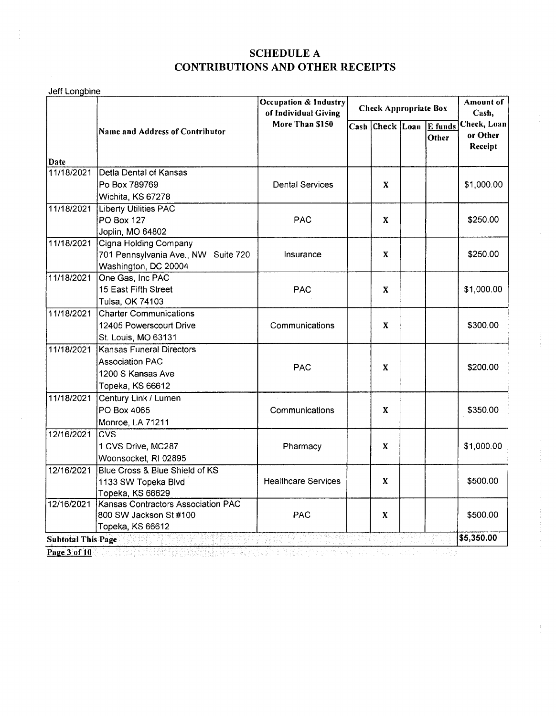| Jeff Longbine             |                                        | Occupation & Industry<br>of Individual Giving | <b>Check Appropriate Box</b> |                 |   | Amount of<br>Cash,      |                                    |
|---------------------------|----------------------------------------|-----------------------------------------------|------------------------------|-----------------|---|-------------------------|------------------------------------|
|                           | <b>Name and Address of Contributor</b> | More Than \$150                               |                              | Cash Check Loan |   | <b>E</b> funds<br>Other | Check, Loan<br>or Other<br>Receipt |
| Date<br>11/18/2021        | Detla Dental of Kansas                 |                                               |                              |                 |   |                         |                                    |
|                           | Po Box 789769                          | <b>Dental Services</b>                        |                              | X               |   |                         | \$1,000.00                         |
|                           | Wichita, KS 67278                      |                                               |                              |                 |   |                         |                                    |
| 11/18/2021                | <b>Liberty Utilities PAC</b>           |                                               |                              |                 |   |                         |                                    |
|                           | <b>PO Box 127</b>                      | <b>PAC</b>                                    |                              | X               |   |                         | \$250.00                           |
|                           | Joplin, MO 64802                       |                                               |                              |                 |   |                         |                                    |
| 11/18/2021                | Cigna Holding Company                  |                                               |                              |                 |   |                         |                                    |
|                           | 701 Pennsylvania Ave., NW Suite 720    | Insurance                                     |                              | X               |   | \$250.00                |                                    |
|                           | Washington, DC 20004                   |                                               |                              |                 |   |                         |                                    |
| 11/18/2021                | One Gas, Inc PAC                       |                                               |                              | X               |   |                         |                                    |
|                           | 15 East Fifth Street                   | <b>PAC</b>                                    |                              |                 |   |                         |                                    |
|                           | Tulsa, OK 74103                        |                                               |                              |                 |   |                         |                                    |
| 11/18/2021                | <b>Charter Communications</b>          |                                               | X                            |                 |   |                         | \$300.00                           |
|                           | 12405 Powerscourt Drive                | Communications                                |                              |                 |   |                         |                                    |
|                           | St. Louis, MO 63131                    |                                               |                              |                 |   |                         |                                    |
| 11/18/2021                | Kansas Funeral Directors               |                                               |                              |                 |   |                         |                                    |
|                           | <b>Association PAC</b>                 | <b>PAC</b>                                    |                              |                 | X |                         |                                    |
|                           | 1200 S Kansas Ave                      |                                               |                              |                 |   |                         | \$200.00                           |
|                           | Topeka, KS 66612                       |                                               |                              |                 |   |                         |                                    |
| 11/18/2021                | Century Link / Lumen                   |                                               |                              |                 |   |                         |                                    |
|                           | PO Box 4065                            | Communications                                |                              | X               |   |                         | \$350.00                           |
|                           | Monroe, LA 71211                       |                                               |                              |                 |   |                         |                                    |
| 12/16/2021                | <b>CVS</b>                             |                                               |                              |                 |   |                         |                                    |
|                           | 1 CVS Drive, MC287                     | Pharmacy                                      |                              | X               |   |                         | \$1,000.00                         |
|                           | Woonsocket, RI 02895                   |                                               |                              |                 |   |                         |                                    |
| 12/16/2021                | Blue Cross & Blue Shield of KS         |                                               | X                            |                 |   |                         |                                    |
|                           | 1133 SW Topeka Blvd                    | <b>Healthcare Services</b>                    |                              |                 |   | \$500.00                |                                    |
|                           | Topeka, KS 66629                       |                                               |                              |                 |   |                         |                                    |
| 12/16/2021                | Kansas Contractors Association PAC     |                                               |                              |                 |   |                         |                                    |
|                           | 800 SW Jackson St #100                 | <b>PAC</b>                                    |                              | X               |   |                         | \$500.00                           |
|                           | Topeka, KS 66612                       | (1984) Sangkan pe                             |                              |                 |   |                         | \$5,350.00                         |
| <b>Subtotal This Page</b> |                                        |                                               |                              |                 |   |                         |                                    |

**Page 3 of 10**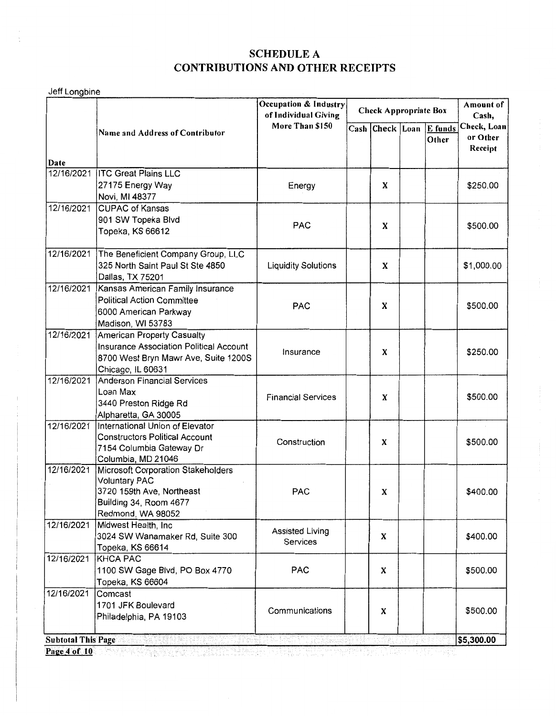Jeff Longbine

|              |                                                                                                                                           | Occupation & Industry<br>of Individual Giving | <b>Check Appropriate Box</b> |                 |  |                  | Amount of<br>Cash,                 |
|--------------|-------------------------------------------------------------------------------------------------------------------------------------------|-----------------------------------------------|------------------------------|-----------------|--|------------------|------------------------------------|
| Date         | <b>Name and Address of Contributor</b>                                                                                                    | More Than \$150                               |                              | Cash Check Loan |  | E funds<br>Other | Check, Loan<br>or Other<br>Receipt |
| 12/16/2021   | <b>ITC Great Plains LLC</b>                                                                                                               |                                               |                              |                 |  |                  |                                    |
|              | 27175 Energy Way<br>Novi, MI 48377                                                                                                        | Energy                                        |                              | X               |  |                  | \$250.00                           |
| 12/16/2021   | <b>CUPAC of Kansas</b><br>901 SW Topeka Blvd<br>Topeka, KS 66612                                                                          | <b>PAC</b>                                    |                              | X               |  |                  | \$500.00                           |
| 12/16/2021   | The Beneficient Company Group, LLC<br>325 North Saint Paul St Ste 4850<br>Dallas, TX 75201                                                | <b>Liquidity Solutions</b>                    |                              | X               |  |                  | \$1,000.00                         |
| 12/16/2021   | Kansas American Family Insurance<br><b>Political Action Committee</b><br>6000 American Parkway<br>Madison, WI 53783                       | <b>PAC</b>                                    |                              | X               |  |                  | \$500.00                           |
| 12/16/2021   | <b>American Property Casualty</b><br>Insurance Association Political Account<br>8700 West Bryn Mawr Ave, Suite 1200S<br>Chicago, IL 60631 | Insurance                                     |                              | X               |  |                  | \$250.00                           |
| 12/16/2021   | <b>Anderson Financial Services</b><br>Loan Max<br>3440 Preston Ridge Rd<br>Alpharetta, GA 30005                                           | <b>Financial Services</b>                     |                              | X               |  |                  | \$500.00                           |
| 12/16/2021   | International Union of Elevator<br><b>Constructors Political Account</b><br>7154 Columbia Gateway Dr<br>Columbia, MD 21046                | Construction                                  |                              | X               |  |                  | \$500.00                           |
| 12/16/2021   | Microsoft Corporation Stakeholders<br><b>Voluntary PAC</b><br>3720 159th Ave, Northeast<br>Building 34, Room 4677<br>Redmond, WA 98052    | <b>PAC</b>                                    |                              | X               |  |                  | \$400.00                           |
| 12/16/2021   | Midwest Health, Inc<br>3024 SW Wanamaker Rd, Suite 300<br>Topeka, KS 66614                                                                | Assisted Living<br>Services                   |                              | X               |  |                  | \$400.00                           |
| 12/16/2021   | <b>KHCA PAC</b><br>1100 SW Gage Blvd, PO Box 4770<br>Topeka, KS 66604                                                                     | <b>PAC</b>                                    |                              | X               |  |                  | \$500.00                           |
| 12/16/2021   | Comcast<br>1701 JFK Boulevard<br>Philadelphia, PA 19103                                                                                   | Communications                                |                              | X               |  |                  | \$500.00                           |
|              | <b>Subtotal This Page</b><br>冷却的东美亚的                                                                                                      |                                               |                              |                 |  |                  | \$5,300.00                         |
| Page 4 of 10 | - "아니, 사람, 사람<br>"오래 그 김래리한 반을 표시서 보고                                                                                                     | 그의 기자가 있는 문제, 나라와 화가 있다                       |                              |                 |  |                  |                                    |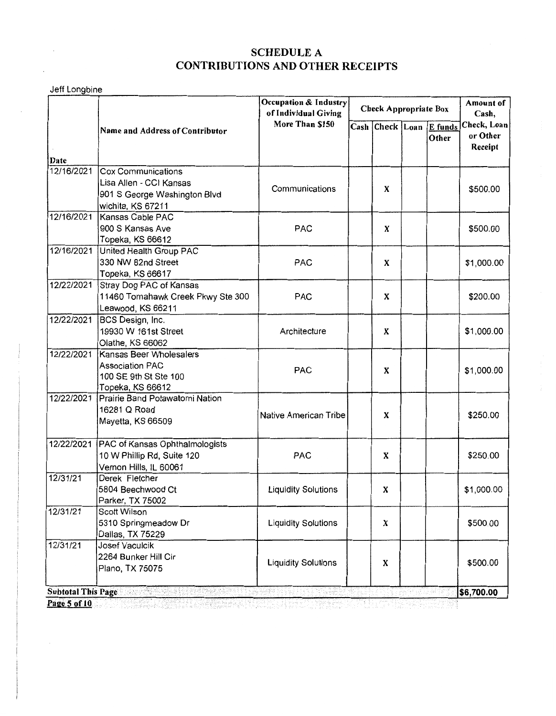Jeff Longbine

|            |                                                                                                |                            | Occupation & Industry<br><b>Check Appropriate Box</b><br>of Individual Giving |   |  | Cash,                            |                                    |
|------------|------------------------------------------------------------------------------------------------|----------------------------|-------------------------------------------------------------------------------|---|--|----------------------------------|------------------------------------|
| Date       | <b>Name and Address of Contributor</b>                                                         | More Than \$150            |                                                                               |   |  | Cash Check Loan E funds<br>Other | Check, Loan<br>or Other<br>Receipt |
| 12/16/2021 | <b>Cox Communications</b>                                                                      |                            |                                                                               |   |  |                                  |                                    |
|            | Lisa Allen - CCI Kansas<br>901 S George Washington Blvd                                        | Communications             |                                                                               | X |  |                                  | \$500.00                           |
| 12/16/2021 | wichita, KS 67211<br>Kansas Cable PAC<br>900 S Kansas Ave<br>Topeka, KS 66612                  | <b>PAC</b>                 |                                                                               | X |  |                                  | \$500.00                           |
| 12/16/2021 | United Health Group PAC<br>330 NW 82nd Street<br>Topeka, KS 66617                              | <b>PAC</b>                 |                                                                               | X |  |                                  | \$1,000.00                         |
| 12/22/2021 | Stray Dog PAC of Kansas<br>11460 Tomahawk Creek Pkwy Ste 300<br>Leawood, KS 66211              | <b>PAC</b>                 |                                                                               | X |  |                                  | \$200.00                           |
| 12/22/2021 | BCS Design, Inc.<br>19930 W 161st Street<br>Olathe, KS 66062                                   | Architecture               |                                                                               | X |  |                                  | \$1,000.00                         |
| 12/22/2021 | Kansas Beer Wholesalers<br><b>Association PAC</b><br>100 SE 9th St Ste 100<br>Topeka, KS 66612 | <b>PAC</b>                 |                                                                               | X |  |                                  | \$1,000.00                         |
| 12/22/2021 | Prairie Band Potawatomi Nation<br>16281 Q Road<br>Mayetta, KS 66509                            | Native American Tribe      |                                                                               | X |  |                                  | \$250.00                           |
| 12/22/2021 | PAC of Kansas Ophthalmologists<br>10 W Phillip Rd, Suite 120<br>Vernon Hills, IL 60061         | <b>PAC</b>                 |                                                                               | X |  |                                  | \$250.00                           |
| 12/31/21   | Derek Fletcher<br>5804 Beechwood Ct<br>Parker, TX 75002                                        | <b>Liquidity Solutions</b> |                                                                               | X |  |                                  | \$1,000.00                         |
| 12/31/21   | Scott Wilson<br>5310 Springmeadow Dr<br>Dallas, TX 75229                                       | <b>Liquidity Solutions</b> |                                                                               | X |  |                                  | \$500.00                           |
| 12/31/21   | Josef Vaculcik<br>2264 Bunker Hill Cir<br>Plano, TX 75075                                      | <b>Liquidity Solutions</b> |                                                                               | X |  |                                  | \$500.00                           |
|            | <b>Subtotal This Page Subtotal This Page</b><br><u>Presidenta de Pina</u>                      |                            |                                                                               |   |  |                                  | \$6,700.00                         |

**Page 5 of 10** despending a separate and the second let  $\mathcal{S}$  in the letter  $\mathcal{S}$  is the letter  $\mathcal{S}$  is a letter  $\mathcal{S}$  is a letter  $\mathcal{S}$  is a letter  $\mathcal{S}$  is a letter  $\mathcal{S}$  is a letter  $\mathcal{S}$  is a l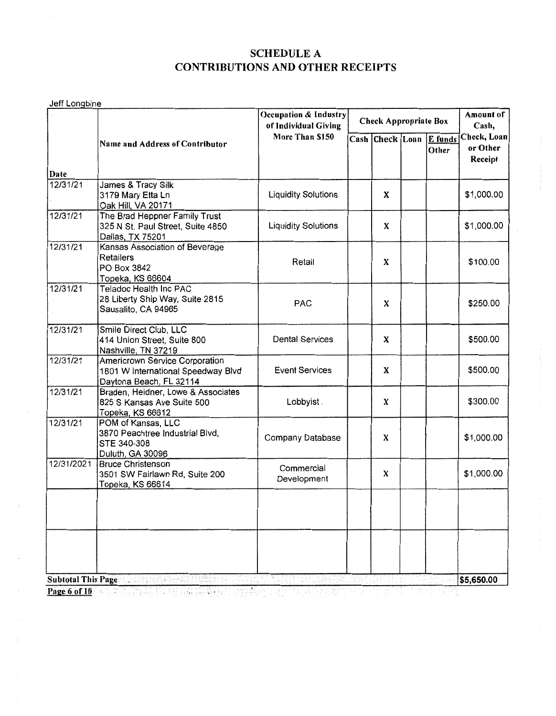Jeff Longbine

|                  |                                                                                                 | Occupation & Industry<br>of Individual Giving |  |   | Check Appropriate Box            | Amount of<br>Cash,                 |
|------------------|-------------------------------------------------------------------------------------------------|-----------------------------------------------|--|---|----------------------------------|------------------------------------|
|                  | More Than \$150<br><b>Name and Address of Contributor</b>                                       |                                               |  |   | Cash Check Loan E funds<br>Other | Check, Loan<br>or Other<br>Receipt |
| Date<br>12/31/21 | James & Tracy Silk<br>3179 Mary Etta Ln<br>Oak Hill, VA 20171                                   | <b>Liquidity Solutions</b>                    |  | X |                                  | \$1,000.00                         |
| 12/31/21         | The Brad Heppner Family Trust<br>325 N St. Paul Street, Suite 4850<br>Dallas, TX 75201          | <b>Liquidity Solutions</b>                    |  | X |                                  | \$1,000.00                         |
| 12/31/21         | Kansas Association of Beverage<br><b>Retailers</b><br>PO Box 3842<br>Topeka, KS 66604           | Retail                                        |  | X |                                  | \$100.00                           |
| 12/31/21         | Teladoc Health Inc PAC<br>28 Liberty Ship Way, Suite 2815<br>Sausalito, CA 94965                | <b>PAC</b>                                    |  | X |                                  | \$250.00                           |
| 12/31/21         | Smile Direct Club, LLC<br>414 Union Street, Suite 800<br>Nashville, TN 37219                    | <b>Dental Services</b>                        |  | X |                                  | \$500.00                           |
| 12/31/21         | Americrown Service Corporation<br>1801 W International Speedway Blvd<br>Daytona Beach, FL 32114 | <b>Event Services</b>                         |  | X |                                  | \$500.00                           |
| 12/31/21         | Braden, Heidner, Lowe & Associates<br>825 S Kansas Ave Suite 500<br>Topeka, KS 66612            | Lobbyist.                                     |  | X |                                  | \$300.00                           |
| 12/31/21         | POM of Kansas, LLC<br>3870 Peachtree Industrial Blvd,<br>STE 340-308<br>Duluth, GA 30096        | Company Database                              |  | X |                                  | \$1,000.00                         |
| 12/31/2021       | <b>Bruce Christenson</b><br>3501 SW Fairlawn Rd, Suite 200<br>Topeka, KS 66614                  | Commercial<br>Development                     |  | X |                                  | \$1,000.00                         |
|                  |                                                                                                 |                                               |  |   |                                  |                                    |
|                  | Subtotal This Page and a state of the state of the state                                        | 74. LATE                                      |  |   |                                  | \$5,650.00                         |

**Page 6 of** IO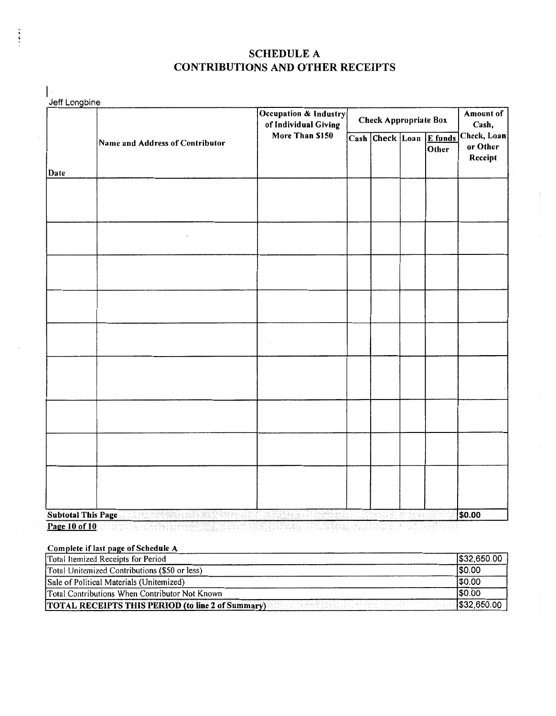|<br>Jeff Longbine Occupation & Industry Amount of of Individual Giving<br>More Than \$150<br>Cash Check Loan IE fun Cash, Check, Loan Name and Address of Contributor More Than \$150  $\overline{\text{Cash}}$  Check Loan  $\overline{\text{E}$  funds or Other **Other** Receipt Date  $\overline{\phantom{a}}$ **\$0.00**  Subtotal This Page . **Page 10 of 10** 

#### Complete if last page of Schedule A

Î

| Total Itemized Receipts for Period                       | \$32,650.00 |
|----------------------------------------------------------|-------------|
| Total Unitemized Contributions (\$50 or less)            | 50.00       |
| Sale of Political Materials (Unitemized)                 | \$0.00      |
| Total Contributions When Contributor Not Known           | 1\$0.00     |
| <b>TOTAL RECEIPTS THIS PERIOD (to line 2 of Summary)</b> | \$32,650.00 |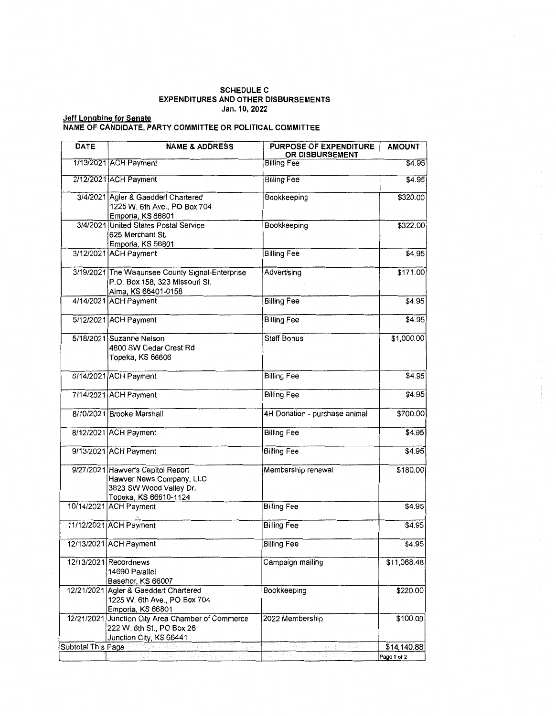### **SCHEDULE C EXPENDITURES AND OTHER DISBURSEMENTS Jan. 10, 2022**

#### **Jeff Longbine for Senate NAME OF CANDIDATE, PARTY COMMITTEE OR POLITICAL COMMITTEE**

| <b>DATE</b>        | <b>NAME &amp; ADDRESS</b>                                                                                         | PURPOSE OF EXPENDITURE<br>OR DISBURSEMENT | <b>AMOUNT</b> |
|--------------------|-------------------------------------------------------------------------------------------------------------------|-------------------------------------------|---------------|
|                    | 1/13/2021 ACH Payment                                                                                             | <b>Billing Fee</b>                        | \$4.95        |
|                    | 2/12/2021 ACH Payment                                                                                             | <b>Billing Fee</b>                        | \$4.95        |
|                    | 3/4/2021 Agier & Gaeddert Chartered<br>1225 W. 6th Ave., PO Box 704<br>Emporia, KS 66801                          | Bookkeeping                               | \$320.00      |
|                    | 3/4/2021 United States Postal Service<br>625 Merchant St.<br>Emporia, KS 66801                                    | Bookkeeping                               | \$322.00      |
|                    | 3/12/2021 ACH Payment                                                                                             | <b>Billing Fee</b>                        | \$4.95]       |
|                    | 3/19/2021 The Waaunsee County Signal-Enterprise<br>P.O. Box 158, 323 Missouri St.<br>Alma, KS 66401-0158          | Advertising                               | \$171.00      |
|                    | 4/14/2021 ACH Payment                                                                                             | <b>Billing Fee</b>                        | \$4.95        |
|                    | 5/12/2021 ACH Payment                                                                                             | <b>Billing Fee</b>                        | \$4.95        |
|                    | 5/18/2021 Suzanne Nelson<br>4800 SW Cedar Crest Rd<br>Topeka, KS 66606                                            | <b>Staff Bonus</b>                        | \$1,000.00    |
|                    | 6/14/2021 ACH Payment                                                                                             | <b>Billing Fee</b>                        | \$4.95        |
|                    | 7/14/2021 ACH Payment                                                                                             | <b>Billing Fee</b>                        | \$4.95        |
|                    | 8/10/2021 Brooke Marshall                                                                                         | 4H Donation - purchase animal             | \$700.00      |
|                    | 8/12/2021 ACH Payment                                                                                             | <b>Billing Fee</b>                        | \$4.95        |
|                    | 9/13/2021 ACH Payment                                                                                             | <b>Billing Fee</b>                        | \$4.95        |
|                    | 9/27/2021 Hawver's Capitol Report<br>Hawver News Company, LLC<br>3823 SW Wood Valley Dr.<br>Topeka, KS 66610-1124 | Membership renewal                        | \$180.00      |
|                    | 10/14/2021 ACH Payment                                                                                            | <b>Billing Fee</b>                        | \$4.95        |
|                    | 11/12/2021 ACH Payment                                                                                            | <b>Billing Fee</b>                        | \$4.95]       |
|                    | 12/13/2021 ACH Payment                                                                                            | <b>Billing Fee</b>                        | \$4.95        |
|                    | 12/13/2021 Recordnews<br>14690 Parallel<br>Basehor, KS 66007                                                      | Campaign mailing                          | \$11,068.48   |
|                    | 12/21/2021 Agler & Gaeddert Chartered<br>1225 W. 6th Ave., PO Box 704<br>Emporia, KS 66801                        | Bookkeeping                               | \$220.00      |
| 12/21/2021         | Junction City Area Chamber of Commerce<br>222 W. 6th St., PO Box 26<br>Junction City, KS 66441                    | 2022 Membership                           | \$100.00      |
| Subtotal This Page |                                                                                                                   | la dipi                                   | \$14,140.88   |
|                    | 단, 제품 사람에 참 잘 보여 봤다.<br>stera p                                                                                   |                                           | Page 1 of 2   |